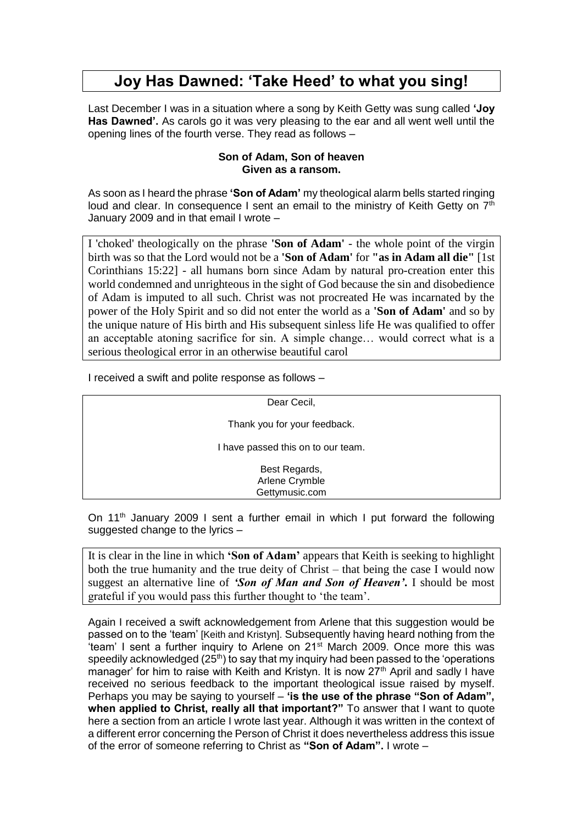## **Joy Has Dawned: 'Take Heed' to what you sing!**

Last December I was in a situation where a song by Keith Getty was sung called **'Joy Has Dawned'.** As carols go it was very pleasing to the ear and all went well until the opening lines of the fourth verse. They read as follows –

#### **Son of Adam, Son of heaven Given as a ransom.**

As soon as I heard the phrase **'Son of Adam'** my theological alarm bells started ringing loud and clear. In consequence I sent an email to the ministry of Keith Getty on  $7<sup>th</sup>$ January 2009 and in that email I wrote –

I 'choked' theologically on the phrase **'Son of Adam'** - the whole point of the virgin birth was so that the Lord would not be a **'Son of Adam'** for **"as in Adam all die"** [1st Corinthians 15:22] - all humans born since Adam by natural pro-creation enter this world condemned and unrighteous in the sight of God because the sin and disobedience of Adam is imputed to all such. Christ was not procreated He was incarnated by the power of the Holy Spirit and so did not enter the world as a **'Son of Adam'** and so by the unique nature of His birth and His subsequent sinless life He was qualified to offer an acceptable atoning sacrifice for sin. A simple change… would correct what is a serious theological error in an otherwise beautiful carol

I received a swift and polite response as follows –

Dear Cecil,

Thank you for your feedback.

I have passed this on to our team.

Best Regards, Arlene Crymble Gettymusic.com

On 11<sup>th</sup> January 2009 I sent a further email in which I put forward the following suggested change to the lyrics –

It is clear in the line in which **'Son of Adam'** appears that Keith is seeking to highlight both the true humanity and the true deity of Christ – that being the case I would now suggest an alternative line of *'Son of Man and Son of Heaven'***.** I should be most grateful if you would pass this further thought to 'the team'.

Again I received a swift acknowledgement from Arlene that this suggestion would be passed on to the 'team' [Keith and Kristyn]. Subsequently having heard nothing from the 'team' I sent a further inquiry to Arlene on 21st March 2009. Once more this was speedily acknowledged (25<sup>th</sup>) to say that my inquiry had been passed to the 'operations manager' for him to raise with Keith and Kristyn. It is now 27<sup>th</sup> April and sadly I have received no serious feedback to the important theological issue raised by myself. Perhaps you may be saying to yourself – **'is the use of the phrase "Son of Adam", when applied to Christ, really all that important?"** To answer that I want to quote here a section from an article I wrote last year. Although it was written in the context of a different error concerning the Person of Christ it does nevertheless address this issue of the error of someone referring to Christ as **"Son of Adam".** I wrote –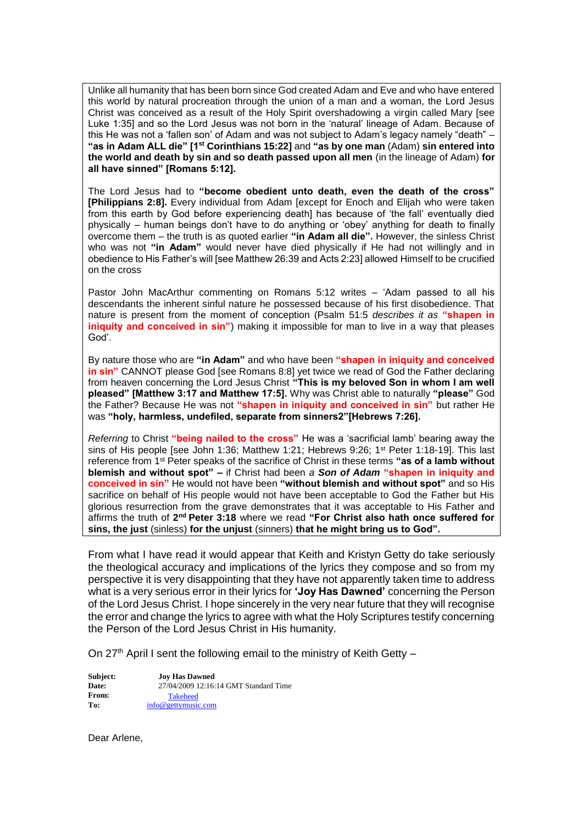Unlike all humanity that has been born since God created Adam and Eve and who have entered this world by natural procreation through the union of a man and a woman, the Lord Jesus Christ was conceived as a result of the Holy Spirit overshadowing a virgin called Mary [see Luke 1:35] and so the Lord Jesus was not born in the 'natural' lineage of Adam. Because of this He was not a 'fallen son' of Adam and was not subject to Adam's legacy namely "death" – **"as in Adam ALL die" [1st Corinthians 15:22]** and **"as by one man** (Adam) **sin entered into the world and death by sin and so death passed upon all men** (in the lineage of Adam) **for all have sinned" [Romans 5:12].** 

The Lord Jesus had to **"become obedient unto death, even the death of the cross" [Philippians 2:8].** Every individual from Adam [except for Enoch and Elijah who were taken from this earth by God before experiencing death] has because of 'the fall' eventually died physically – human beings don't have to do anything or 'obey' anything for death to finally overcome them – the truth is as quoted earlier **"in Adam all die".** However, the sinless Christ who was not **"in Adam"** would never have died physically if He had not willingly and in obedience to His Father's will [see Matthew 26:39 and Acts 2:23] allowed Himself to be crucified on the cross

Pastor John MacArthur commenting on Romans 5:12 writes – 'Adam passed to all his descendants the inherent sinful nature he possessed because of his first disobedience. That nature is present from the moment of conception (Psalm 51:5 *describes it as* **"shapen in iniquity and conceived in sin"**) making it impossible for man to live in a way that pleases God'.

By nature those who are **"in Adam"** and who have been **"shapen in iniquity and conceived in sin"** CANNOT please God [see Romans 8:8] yet twice we read of God the Father declaring from heaven concerning the Lord Jesus Christ **"This is my beloved Son in whom I am well pleased" [Matthew 3:17 and Matthew 17:5].** Why was Christ able to naturally **"please"** God the Father? Because He was not **"shapen in iniquity and conceived in sin"** but rather He was **"holy, harmless, undefiled, separate from sinners2"[Hebrews 7:26].**

*Referring* to Christ **"being nailed to the cross"** He was a 'sacrificial lamb' bearing away the sins of His people [see John 1:36; Matthew 1:21; Hebrews 9:26; 1<sup>st</sup> Peter 1:18-19]. This last reference from 1st Peter speaks of the sacrifice of Christ in these terms **"as of a lamb without blemish and without spot" –** if Christ had been *a Son of Adam* **"shapen in iniquity and conceived in sin"** He would not have been **"without blemish and without spot"** and so His sacrifice on behalf of His people would not have been acceptable to God the Father but His glorious resurrection from the grave demonstrates that it was acceptable to His Father and affirms the truth of 2<sup>nd</sup> Peter 3:18 where we read "For Christ also hath once suffered for **sins, the just** (sinless) **for the unjust** (sinners) **that he might bring us to God".** 

From what I have read it would appear that Keith and Kristyn Getty do take seriously the theological accuracy and implications of the lyrics they compose and so from my perspective it is very disappointing that they have not apparently taken time to address what is a very serious error in their lyrics for **'Joy Has Dawned'** concerning the Person of the Lord Jesus Christ. I hope sincerely in the very near future that they will recognise the error and change the lyrics to agree with what the Holy Scriptures testify concerning the Person of the Lord Jesus Christ in His humanity.

On  $27<sup>th</sup>$  April I sent the following email to the ministry of Keith Getty –

**Subject: Joy Has Dawned Date:** 27/04/2009 12:16:14 GMT Standard Time **From:** [Takeheed](mailto:Takeheed) **To:** [info@gettymusic.com](mailto:info@gettymusic.com)

Dear Arlene,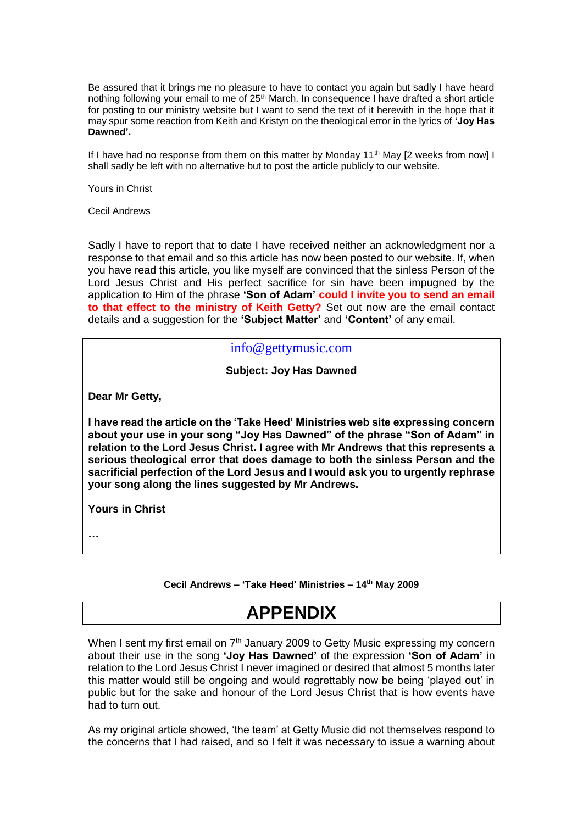Be assured that it brings me no pleasure to have to contact you again but sadly I have heard nothing following your email to me of  $25<sup>th</sup>$  March. In consequence I have drafted a short article for posting to our ministry website but I want to send the text of it herewith in the hope that it may spur some reaction from Keith and Kristyn on the theological error in the lyrics of **'Joy Has Dawned'.** 

If I have had no response from them on this matter by Monday 11<sup>th</sup> May [2 weeks from now] I shall sadly be left with no alternative but to post the article publicly to our website.

Yours in Christ

Cecil Andrews

Sadly I have to report that to date I have received neither an acknowledgment nor a response to that email and so this article has now been posted to our website. If, when you have read this article, you like myself are convinced that the sinless Person of the Lord Jesus Christ and His perfect sacrifice for sin have been impugned by the application to Him of the phrase **'Son of Adam' could I invite you to send an email to that effect to the ministry of Keith Getty?** Set out now are the email contact details and a suggestion for the **'Subject Matter'** and **'Content'** of any email.

### [info@gettymusic.com](mailto:info@gettymusic.com)

#### **Subject: Joy Has Dawned**

**Dear Mr Getty,**

**I have read the article on the 'Take Heed' Ministries web site expressing concern about your use in your song "Joy Has Dawned" of the phrase "Son of Adam" in relation to the Lord Jesus Christ. I agree with Mr Andrews that this represents a serious theological error that does damage to both the sinless Person and the sacrificial perfection of the Lord Jesus and I would ask you to urgently rephrase your song along the lines suggested by Mr Andrews.**

**Yours in Christ**

**…**

#### **Cecil Andrews – 'Take Heed' Ministries – 14th May 2009**

# **APPENDIX**

When I sent my first email on 7<sup>th</sup> January 2009 to Getty Music expressing my concern about their use in the song **'Joy Has Dawned'** of the expression **'Son of Adam'** in relation to the Lord Jesus Christ I never imagined or desired that almost 5 months later this matter would still be ongoing and would regrettably now be being 'played out' in public but for the sake and honour of the Lord Jesus Christ that is how events have had to turn out.

As my original article showed, 'the team' at Getty Music did not themselves respond to the concerns that I had raised, and so I felt it was necessary to issue a warning about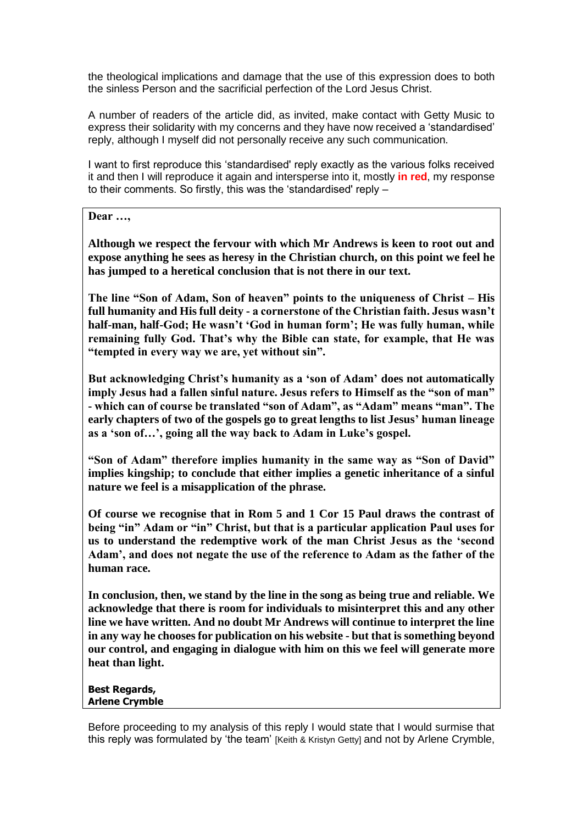the theological implications and damage that the use of this expression does to both the sinless Person and the sacrificial perfection of the Lord Jesus Christ.

A number of readers of the article did, as invited, make contact with Getty Music to express their solidarity with my concerns and they have now received a 'standardised' reply, although I myself did not personally receive any such communication.

I want to first reproduce this 'standardised' reply exactly as the various folks received it and then I will reproduce it again and intersperse into it, mostly **in red**, my response to their comments. So firstly, this was the 'standardised' reply –

**Dear …,**

**Although we respect the fervour with which Mr Andrews is keen to root out and expose anything he sees as heresy in the Christian church, on this point we feel he has jumped to a heretical conclusion that is not there in our text.**

**The line "Son of Adam, Son of heaven" points to the uniqueness of Christ – His full humanity and His full deity - a cornerstone of the Christian faith. Jesus wasn't half-man, half-God; He wasn't 'God in human form'; He was fully human, while remaining fully God. That's why the Bible can state, for example, that He was "tempted in every way we are, yet without sin".**

**But acknowledging Christ's humanity as a 'son of Adam' does not automatically imply Jesus had a fallen sinful nature. Jesus refers to Himself as the "son of man" - which can of course be translated "son of Adam", as "Adam" means "man". The early chapters of two of the gospels go to great lengths to list Jesus' human lineage as a 'son of…', going all the way back to Adam in Luke's gospel.** 

**"Son of Adam" therefore implies humanity in the same way as "Son of David" implies kingship; to conclude that either implies a genetic inheritance of a sinful nature we feel is a misapplication of the phrase.** 

**Of course we recognise that in Rom 5 and 1 Cor 15 Paul draws the contrast of being "in" Adam or "in" Christ, but that is a particular application Paul uses for us to understand the redemptive work of the man Christ Jesus as the 'second Adam', and does not negate the use of the reference to Adam as the father of the human race.**

**In conclusion, then, we stand by the line in the song as being true and reliable. We acknowledge that there is room for individuals to misinterpret this and any other line we have written. And no doubt Mr Andrews will continue to interpret the line in any way he chooses for publication on his website - but that is something beyond our control, and engaging in dialogue with him on this we feel will generate more heat than light.**

#### **Best Regards, Arlene Crymble**

Before proceeding to my analysis of this reply I would state that I would surmise that this reply was formulated by 'the team' [Keith & Kristyn Getty] and not by Arlene Crymble,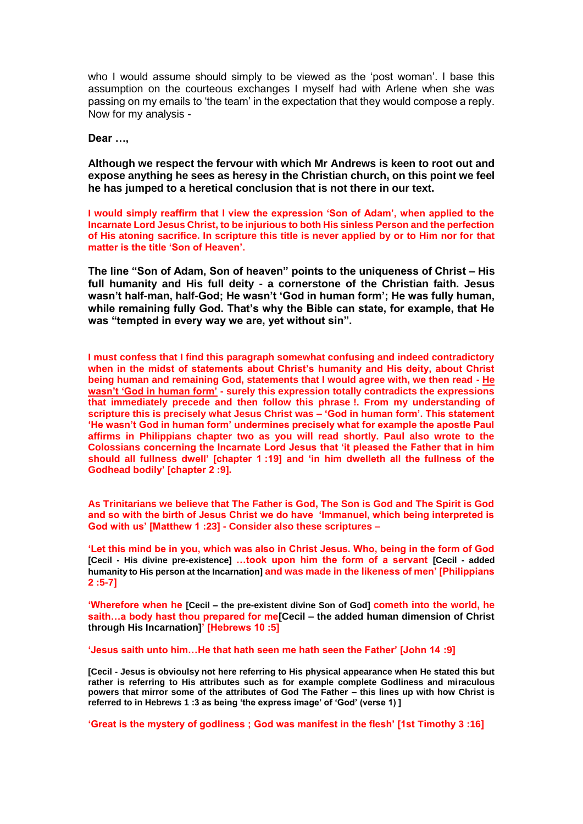who I would assume should simply to be viewed as the 'post woman'. I base this assumption on the courteous exchanges I myself had with Arlene when she was passing on my emails to 'the team' in the expectation that they would compose a reply. Now for my analysis -

**Dear …,**

**Although we respect the fervour with which Mr Andrews is keen to root out and expose anything he sees as heresy in the Christian church, on this point we feel he has jumped to a heretical conclusion that is not there in our text.**

**I would simply reaffirm that I view the expression 'Son of Adam', when applied to the Incarnate Lord Jesus Christ, to be injurious to both His sinless Person and the perfection of His atoning sacrifice. In scripture this title is never applied by or to Him nor for that matter is the title 'Son of Heaven'.**

**The line "Son of Adam, Son of heaven" points to the uniqueness of Christ – His full humanity and His full deity - a cornerstone of the Christian faith. Jesus wasn't half-man, half-God; He wasn't 'God in human form'; He was fully human, while remaining fully God. That's why the Bible can state, for example, that He was "tempted in every way we are, yet without sin".**

**I must confess that I find this paragraph somewhat confusing and indeed contradictory when in the midst of statements about Christ's humanity and His deity, about Christ being human and remaining God, statements that I would agree with, we then read - He wasn't 'God in human form' - surely this expression totally contradicts the expressions that immediately precede and then follow this phrase !. From my understanding of scripture this is precisely what Jesus Christ was – 'God in human form'. This statement 'He wasn't God in human form' undermines precisely what for example the apostle Paul affirms in Philippians chapter two as you will read shortly. Paul also wrote to the Colossians concerning the Incarnate Lord Jesus that 'it pleased the Father that in him should all fullness dwell' [chapter 1 :19] and 'in him dwelleth all the fullness of the Godhead bodily' [chapter 2 :9].**

**As Trinitarians we believe that The Father is God, The Son is God and The Spirit is God and so with the birth of Jesus Christ we do have 'Immanuel, which being interpreted is God with us' [Matthew 1 :23] - Consider also these scriptures –**

**'Let this mind be in you, which was also in Christ Jesus. Who, being in the form of God [Cecil - His divine pre-existence] …took upon him the form of a servant [Cecil - added humanity to His person at the Incarnation] and was made in the likeness of men' [Philippians 2 :5-7]**

**'Wherefore when he [Cecil – the pre-existent divine Son of God] cometh into the world, he saith…a body hast thou prepared for me[Cecil – the added human dimension of Christ through His Incarnation]' [Hebrews 10 :5]**

**'Jesus saith unto him…He that hath seen me hath seen the Father' [John 14 :9]** 

**[Cecil - Jesus is obvioulsy not here referring to His physical appearance when He stated this but rather is referring to His attributes such as for example complete Godliness and miraculous powers that mirror some of the attributes of God The Father – this lines up with how Christ is referred to in Hebrews 1 :3 as being 'the express image' of 'God' (verse 1) ]**

**'Great is the mystery of godliness ; God was manifest in the flesh' [1st Timothy 3 :16]**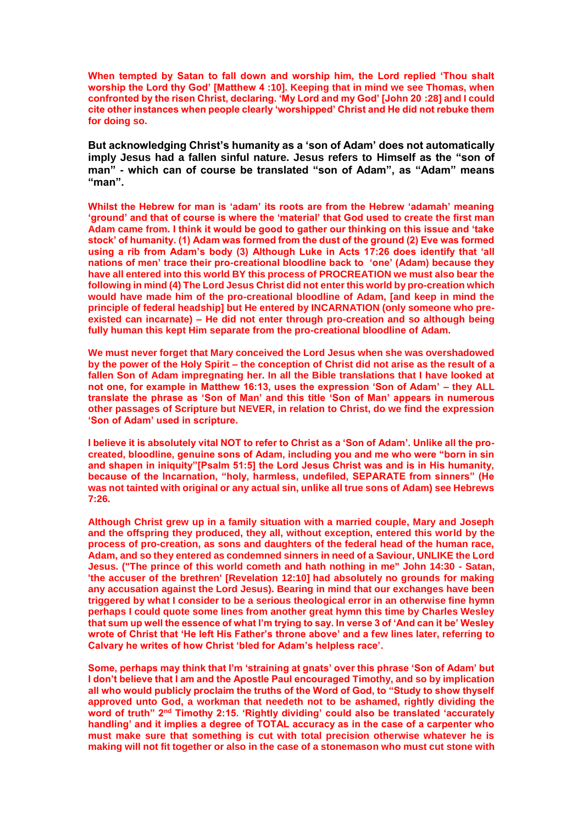**When tempted by Satan to fall down and worship him, the Lord replied 'Thou shalt worship the Lord thy God' [Matthew 4 :10]. Keeping that in mind we see Thomas, when confronted by the risen Christ, declaring. 'My Lord and my God' [John 20 :28] and I could cite other instances when people clearly 'worshipped' Christ and He did not rebuke them for doing so.** 

**But acknowledging Christ's humanity as a 'son of Adam' does not automatically imply Jesus had a fallen sinful nature. Jesus refers to Himself as the "son of man" - which can of course be translated "son of Adam", as "Adam" means "man".** 

**Whilst the Hebrew for man is 'adam' its roots are from the Hebrew 'adamah' meaning 'ground' and that of course is where the 'material' that God used to create the first man Adam came from. I think it would be good to gather our thinking on this issue and 'take stock' of humanity. (1) Adam was formed from the dust of the ground (2) Eve was formed using a rib from Adam's body (3) Although Luke in Acts 17:26 does identify that 'all nations of men' trace their pro-creational bloodline back to 'one' (Adam) because they have all entered into this world BY this process of PROCREATION we must also bear the following in mind (4) The Lord Jesus Christ did not enter this world by pro-creation which would have made him of the pro-creational bloodline of Adam, [and keep in mind the principle of federal headship] but He entered by INCARNATION (only someone who preexisted can incarnate) – He did not enter through pro-creation and so although being fully human this kept Him separate from the pro-creational bloodline of Adam.** 

**We must never forget that Mary conceived the Lord Jesus when she was overshadowed by the power of the Holy Spirit – the conception of Christ did not arise as the result of a fallen Son of Adam impregnating her. In all the Bible translations that I have looked at not one, for example in Matthew 16:13, uses the expression 'Son of Adam' – they ALL translate the phrase as 'Son of Man' and this title 'Son of Man' appears in numerous other passages of Scripture but NEVER, in relation to Christ, do we find the expression 'Son of Adam' used in scripture.**

**I believe it is absolutely vital NOT to refer to Christ as a 'Son of Adam'. Unlike all the procreated, bloodline, genuine sons of Adam, including you and me who were "born in sin and shapen in iniquity"[Psalm 51:5] the Lord Jesus Christ was and is in His humanity, because of the Incarnation, "holy, harmless, undefiled, SEPARATE from sinners" (He was not tainted with original or any actual sin, unlike all true sons of Adam) see Hebrews 7:26.** 

**Although Christ grew up in a family situation with a married couple, Mary and Joseph and the offspring they produced, they all, without exception, entered this world by the process of pro-creation, as sons and daughters of the federal head of the human race, Adam, and so they entered as condemned sinners in need of a Saviour, UNLIKE the Lord Jesus. ("The prince of this world cometh and hath nothing in me" John 14:30 - Satan, 'the accuser of the brethren' [Revelation 12:10] had absolutely no grounds for making any accusation against the Lord Jesus). Bearing in mind that our exchanges have been triggered by what I consider to be a serious theological error in an otherwise fine hymn perhaps I could quote some lines from another great hymn this time by Charles Wesley that sum up well the essence of what I'm trying to say. In verse 3 of 'And can it be' Wesley wrote of Christ that 'He left His Father's throne above' and a few lines later, referring to Calvary he writes of how Christ 'bled for Adam's helpless race'.** 

**Some, perhaps may think that I'm 'straining at gnats' over this phrase 'Son of Adam' but I don't believe that I am and the Apostle Paul encouraged Timothy, and so by implication all who would publicly proclaim the truths of the Word of God, to "Study to show thyself approved unto God, a workman that needeth not to be ashamed, rightly dividing the word of truth" 2nd Timothy 2:15. 'Rightly dividing' could also be translated 'accurately handling' and it implies a degree of TOTAL accuracy as in the case of a carpenter who must make sure that something is cut with total precision otherwise whatever he is making will not fit together or also in the case of a stonemason who must cut stone with**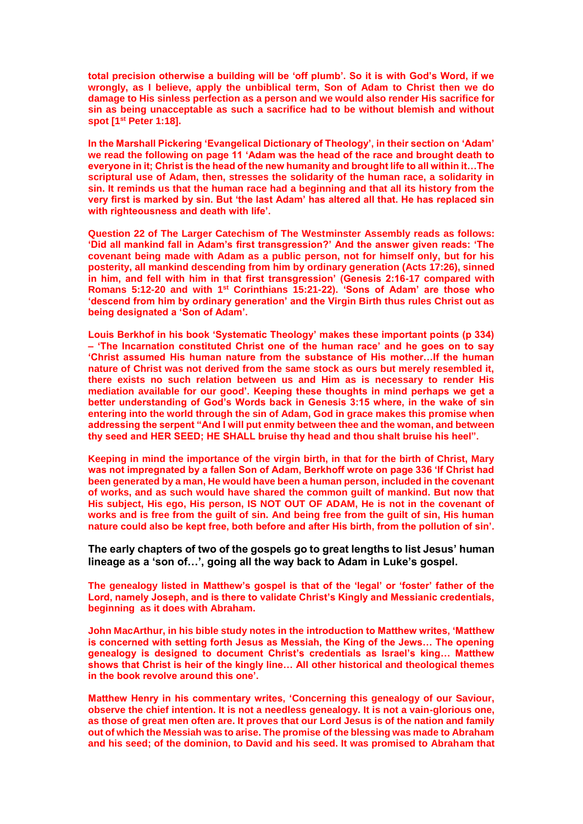**total precision otherwise a building will be 'off plumb'. So it is with God's Word, if we wrongly, as I believe, apply the unbiblical term, Son of Adam to Christ then we do damage to His sinless perfection as a person and we would also render His sacrifice for sin as being unacceptable as such a sacrifice had to be without blemish and without spot [1st Peter 1:18].** 

**In the Marshall Pickering 'Evangelical Dictionary of Theology', in their section on 'Adam' we read the following on page 11 'Adam was the head of the race and brought death to everyone in it; Christ is the head of the new humanity and brought life to all within it…The scriptural use of Adam, then, stresses the solidarity of the human race, a solidarity in sin. It reminds us that the human race had a beginning and that all its history from the very first is marked by sin. But 'the last Adam' has altered all that. He has replaced sin with righteousness and death with life'.**

**Question 22 of The Larger Catechism of The Westminster Assembly reads as follows: 'Did all mankind fall in Adam's first transgression?' And the answer given reads: 'The covenant being made with Adam as a public person, not for himself only, but for his posterity, all mankind descending from him by ordinary generation (Acts 17:26), sinned in him, and fell with him in that first transgression' (Genesis 2:16-17 compared with Romans 5:12-20 and with 1st Corinthians 15:21-22). 'Sons of Adam' are those who 'descend from him by ordinary generation' and the Virgin Birth thus rules Christ out as being designated a 'Son of Adam'.**

**Louis Berkhof in his book 'Systematic Theology' makes these important points (p 334) – 'The Incarnation constituted Christ one of the human race' and he goes on to say 'Christ assumed His human nature from the substance of His mother…If the human nature of Christ was not derived from the same stock as ours but merely resembled it, there exists no such relation between us and Him as is necessary to render His mediation available for our good'. Keeping these thoughts in mind perhaps we get a better understanding of God's Words back in Genesis 3:15 where, in the wake of sin entering into the world through the sin of Adam, God in grace makes this promise when addressing the serpent "And I will put enmity between thee and the woman, and between thy seed and HER SEED; HE SHALL bruise thy head and thou shalt bruise his heel".**

**Keeping in mind the importance of the virgin birth, in that for the birth of Christ, Mary was not impregnated by a fallen Son of Adam, Berkhoff wrote on page 336 'If Christ had been generated by a man, He would have been a human person, included in the covenant of works, and as such would have shared the common guilt of mankind. But now that His subject, His ego, His person, IS NOT OUT OF ADAM, He is not in the covenant of works and is free from the guilt of sin. And being free from the guilt of sin, His human nature could also be kept free, both before and after His birth, from the pollution of sin'.**

**The early chapters of two of the gospels go to great lengths to list Jesus' human lineage as a 'son of…', going all the way back to Adam in Luke's gospel.** 

**The genealogy listed in Matthew's gospel is that of the 'legal' or 'foster' father of the Lord, namely Joseph, and is there to validate Christ's Kingly and Messianic credentials, beginning as it does with Abraham.** 

**John MacArthur, in his bible study notes in the introduction to Matthew writes, 'Matthew is concerned with setting forth Jesus as Messiah, the King of the Jews… The opening genealogy is designed to document Christ's credentials as Israel's king… Matthew shows that Christ is heir of the kingly line… All other historical and theological themes in the book revolve around this one'.**

**Matthew Henry in his commentary writes, 'Concerning this genealogy of our Saviour, observe the chief intention. It is not a needless genealogy. It is not a vain-glorious one, as those of great men often are. It proves that our Lord Jesus is of the nation and family out of which the Messiah was to arise. The promise of the blessing was made to Abraham and his seed; of the dominion, to David and his seed. It was promised to Abraham that**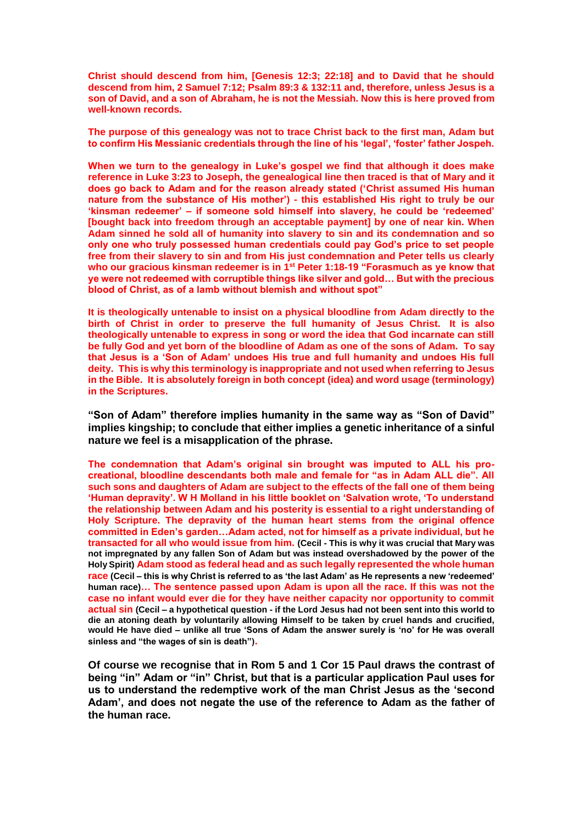**Christ should descend from him, [Genesis 12:3; 22:18] and to David that he should descend from him, 2 Samuel 7:12; Psalm 89:3 & 132:11 and, therefore, unless Jesus is a son of David, and a son of Abraham, he is not the Messiah. Now this is here proved from well-known records.**

**The purpose of this genealogy was not to trace Christ back to the first man, Adam but to confirm His Messianic credentials through the line of his 'legal', 'foster' father Jospeh.**

**When we turn to the genealogy in Luke's gospel we find that although it does make reference in Luke 3:23 to Joseph, the genealogical line then traced is that of Mary and it does go back to Adam and for the reason already stated ('Christ assumed His human nature from the substance of His mother') - this established His right to truly be our 'kinsman redeemer' – if someone sold himself into slavery, he could be 'redeemed' [bought back into freedom through an acceptable payment] by one of near kin. When Adam sinned he sold all of humanity into slavery to sin and its condemnation and so only one who truly possessed human credentials could pay God's price to set people free from their slavery to sin and from His just condemnation and Peter tells us clearly who our gracious kinsman redeemer is in 1st Peter 1:18-19 "Forasmuch as ye know that ye were not redeemed with corruptible things like silver and gold… But with the precious blood of Christ, as of a lamb without blemish and without spot"**

**It is theologically untenable to insist on a physical bloodline from Adam directly to the birth of Christ in order to preserve the full humanity of Jesus Christ. It is also theologically untenable to express in song or word the idea that God incarnate can still be fully God and yet born of the bloodline of Adam as one of the sons of Adam. To say that Jesus is a 'Son of Adam' undoes His true and full humanity and undoes His full deity. This is why this terminology is inappropriate and not used when referring to Jesus in the Bible. It is absolutely foreign in both concept (idea) and word usage (terminology) in the Scriptures.**

**"Son of Adam" therefore implies humanity in the same way as "Son of David" implies kingship; to conclude that either implies a genetic inheritance of a sinful nature we feel is a misapplication of the phrase.** 

**The condemnation that Adam's original sin brought was imputed to ALL his procreational, bloodline descendants both male and female for "as in Adam ALL die". All such sons and daughters of Adam are subject to the effects of the fall one of them being 'Human depravity'. W H Molland in his little booklet on 'Salvation wrote, 'To understand the relationship between Adam and his posterity is essential to a right understanding of Holy Scripture. The depravity of the human heart stems from the original offence committed in Eden's garden…Adam acted, not for himself as a private individual, but he transacted for all who would issue from him. (Cecil - This is why it was crucial that Mary was not impregnated by any fallen Son of Adam but was instead overshadowed by the power of the Holy Spirit) Adam stood as federal head and as such legally represented the whole human race (Cecil – this is why Christ is referred to as 'the last Adam' as He represents a new 'redeemed' human race)… The sentence passed upon Adam is upon all the race. If this was not the case no infant would ever die for they have neither capacity nor opportunity to commit actual sin (Cecil – a hypothetical question - if the Lord Jesus had not been sent into this world to die an atoning death by voluntarily allowing Himself to be taken by cruel hands and crucified, would He have died – unlike all true 'Sons of Adam the answer surely is 'no' for He was overall sinless and "the wages of sin is death").** 

**Of course we recognise that in Rom 5 and 1 Cor 15 Paul draws the contrast of being "in" Adam or "in" Christ, but that is a particular application Paul uses for us to understand the redemptive work of the man Christ Jesus as the 'second Adam', and does not negate the use of the reference to Adam as the father of the human race.**